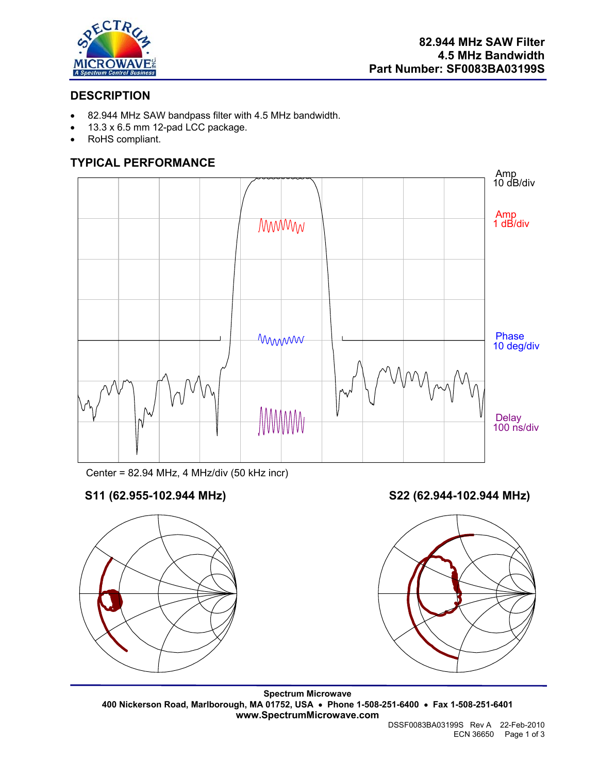

## **DESCRIPTION**

- 82.944 MHz SAW bandpass filter with 4.5 MHz bandwidth.
- 13.3 x 6.5 mm 12-pad LCC package.
- RoHS compliant.

# **TYPICAL PERFORMANCE**



Center = 82.94 MHz, 4 MHz/div (50 kHz incr)

# **S11 (62.955-102.944 MHz) S22 (62.944-102.944 MHz)**





**Spectrum Microwave 400 Nickerson Road, Marlborough, MA 01752, USA** • **Phone 1-508-251-6400** • **Fax 1-508-251-6401 www.SpectrumMicrowave.com** 

DSSF0083BA03199S Rev A 22-Feb-2010 ECN 36650 Page 1 of 3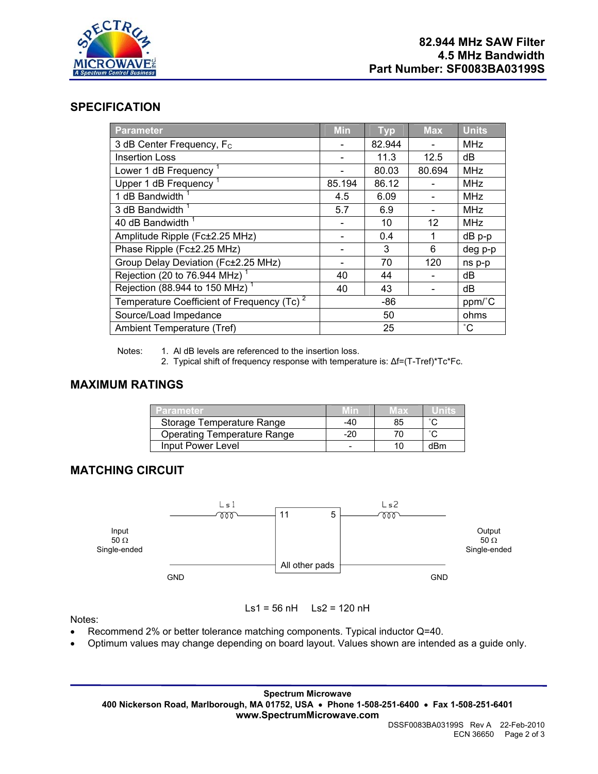

### **SPECIFICATION**

| <b>Parameter</b>                              | <b>Min</b> | <b>Typ</b> | <b>Max</b>        | <b>Units</b>    |
|-----------------------------------------------|------------|------------|-------------------|-----------------|
| 3 dB Center Frequency, F <sub>c</sub>         |            | 82.944     |                   | <b>MHz</b>      |
| <b>Insertion Loss</b>                         |            | 11.3       | 12.5              | dB              |
| Lower 1 dB Frequency <sup>1</sup>             |            | 80.03      | 80.694            | <b>MHz</b>      |
| Upper 1 dB Frequency <sup>1</sup>             | 85.194     | 86.12      |                   | <b>MHz</b>      |
| 1 dB Bandwidth                                | 4.5        | 6.09       |                   | <b>MHz</b>      |
| 3 dB Bandwidth <sup>1</sup>                   | 5.7        | 6.9        |                   | <b>MHz</b>      |
| 40 dB Bandwidth                               |            | 10         | $12 \overline{ }$ | <b>MHz</b>      |
| Amplitude Ripple (Fc±2.25 MHz)                |            | 0.4        | 1                 | dB p-p          |
| Phase Ripple (Fc±2.25 MHz)                    |            | 3          | 6                 | deg p-p         |
| Group Delay Deviation (Fc±2.25 MHz)           |            | 70         | 120               | ns p-p          |
| Rejection (20 to 76.944 MHz) <sup>1</sup>     | 40         | 44         |                   | dB              |
| Rejection (88.944 to 150 MHz) <sup>1</sup>    | 40         | 43         |                   | dB              |
| Temperature Coefficient of Frequency $(Tc)^2$ | -86        |            |                   | ppm/°C          |
| Source/Load Impedance                         | 50         |            |                   | ohms            |
| Ambient Temperature (Tref)                    | 25         |            |                   | $\rm ^{\circ}C$ |

Notes: 1. Al dB levels are referenced to the insertion loss.

2. Typical shift of frequency response with temperature is: ∆f=(T-Tref)\*Tc\*Fc.

### **MAXIMUM RATINGS**

| Parameter                          |     | wax |     |
|------------------------------------|-----|-----|-----|
| Storage Temperature Range          | -40 | 85  |     |
| <b>Operating Temperature Range</b> | -20 |     |     |
| Input Power Level                  |     | 11) | dRm |

## **MATCHING CIRCUIT**



Ls1 = 56 nH Ls2 = 120 nH

Notes:

- 
- Recommend 2% or better tolerance matching components. Typical inductor Q=40. • Optimum values may change depending on board layout. Values shown are intended as a guide only.

**Spectrum Microwave 400 Nickerson Road, Marlborough, MA 01752, USA** • **Phone 1-508-251-6400** • **Fax 1-508-251-6401 www.SpectrumMicrowave.com**